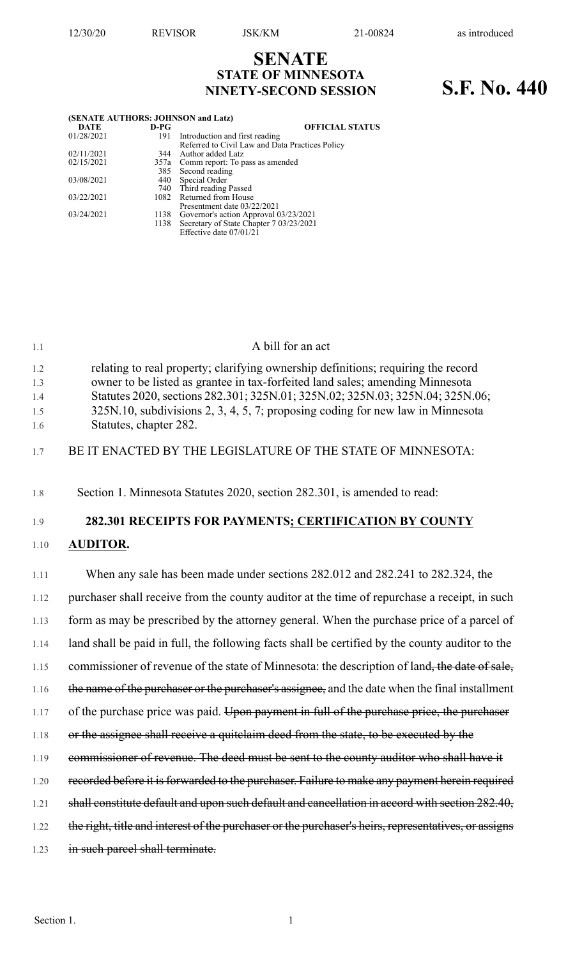# **SENATE STATE OF MINNESOTA NINETY-SECOND SESSION S.F. No. 440**

| (SENATE AUTHORS: JOHNSON and Latz) |        |                                                 |
|------------------------------------|--------|-------------------------------------------------|
| <b>DATE</b>                        | $D-PG$ | <b>OFFICIAL STATUS</b>                          |
| 01/28/2021                         | 191    | Introduction and first reading                  |
|                                    |        | Referred to Civil Law and Data Practices Policy |
| 02/11/2021                         | 344    | Author added Latz                               |
| 02/15/2021                         |        | 357a Comm report: To pass as amended            |
|                                    |        | 385 Second reading                              |
| 03/08/2021                         |        | 440 Special Order                               |
|                                    |        | 740 Third reading Passed                        |
| 03/22/2021                         |        | 1082 Returned from House                        |
|                                    |        | Presentment date 03/22/2021                     |
| 03/24/2021                         | 1138   | Governor's action Approval 03/23/2021           |
|                                    |        | 1138 Secretary of State Chapter 7 03/23/2021    |
|                                    |        | Effective date 07/01/21                         |

| 1.1        | A bill for an act                                                                                                                                                  |
|------------|--------------------------------------------------------------------------------------------------------------------------------------------------------------------|
| 1.2<br>1.3 | relating to real property; clarifying ownership definitions; requiring the record<br>owner to be listed as grantee in tax-forfeited land sales; amending Minnesota |
| 1.4<br>1.5 | Statutes 2020, sections 282.301; 325N.01; 325N.02; 325N.03; 325N.04; 325N.06;<br>325N.10, subdivisions 2, 3, 4, 5, 7; proposing coding for new law in Minnesota    |
| 1.6        | Statutes, chapter 282.                                                                                                                                             |
| 1.7        | BE IT ENACTED BY THE LEGISLATURE OF THE STATE OF MINNESOTA:                                                                                                        |
| 1.8        | Section 1. Minnesota Statutes 2020, section 282.301, is amended to read:                                                                                           |
| 1.9        | 282.301 RECEIPTS FOR PAYMENTS; CERTIFICATION BY COUNTY                                                                                                             |
| 1.10       | <b>AUDITOR.</b>                                                                                                                                                    |
| 1.11       | When any sale has been made under sections 282.012 and 282.241 to 282.324, the                                                                                     |
| 1.12       | purchaser shall receive from the county auditor at the time of repurchase a receipt, in such                                                                       |
| 1.13       | form as may be prescribed by the attorney general. When the purchase price of a parcel of                                                                          |
| 1.14       | land shall be paid in full, the following facts shall be certified by the county auditor to the                                                                    |
| 1.15       | commissioner of revenue of the state of Minnesota: the description of land, the date of sale,                                                                      |
| 1.16       | the name of the purchaser or the purchaser's assignee, and the date when the final installment                                                                     |
| 1.17       | of the purchase price was paid. Upon payment in full of the purchase price, the purchaser                                                                          |
| 1.18       | or the assignee shall receive a quitclaim deed from the state, to be executed by the                                                                               |
| 1.19       | commissioner of revenue. The deed must be sent to the county auditor who shall have it                                                                             |
|            |                                                                                                                                                                    |

- 1.20 recorded before it is forwarded to the purchaser. Failure to make any payment herein required
- 1.21 shall constitute default and upon such default and cancellation in accord with section 282.40,
- 1.22 the right, title and interest of the purchaser or the purchaser's heirs, representatives, or assigns
- 1.23 in such parcel shall terminate.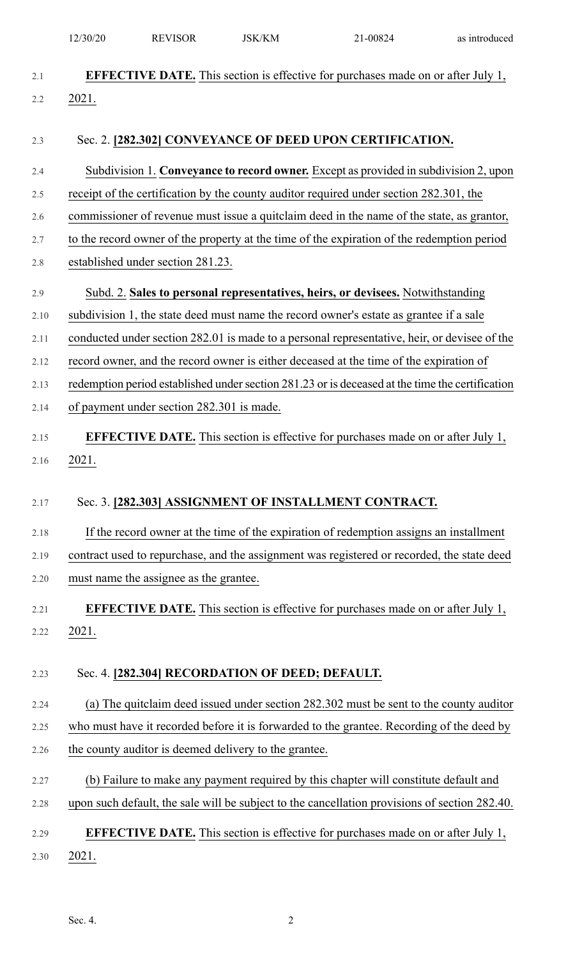|         | 12/30/20 | <b>REVISOR</b>                                        | <b>JSK/KM</b> | 21-00824                                                                                        | as introduced |
|---------|----------|-------------------------------------------------------|---------------|-------------------------------------------------------------------------------------------------|---------------|
| 2.1     |          |                                                       |               | <b>EFFECTIVE DATE.</b> This section is effective for purchases made on or after July 1,         |               |
| 2.2     | 2021.    |                                                       |               |                                                                                                 |               |
|         |          |                                                       |               |                                                                                                 |               |
| 2.3     |          |                                                       |               | Sec. 2. [282.302] CONVEYANCE OF DEED UPON CERTIFICATION.                                        |               |
| 2.4     |          |                                                       |               | Subdivision 1. Conveyance to record owner. Except as provided in subdivision 2, upon            |               |
| 2.5     |          |                                                       |               | receipt of the certification by the county auditor required under section 282.301, the          |               |
| 2.6     |          |                                                       |               | commissioner of revenue must issue a quitclaim deed in the name of the state, as grantor,       |               |
| 2.7     |          |                                                       |               | to the record owner of the property at the time of the expiration of the redemption period      |               |
| $2.8\,$ |          | established under section 281.23.                     |               |                                                                                                 |               |
| 2.9     |          |                                                       |               | Subd. 2. Sales to personal representatives, heirs, or devisees. Notwithstanding                 |               |
| 2.10    |          |                                                       |               | subdivision 1, the state deed must name the record owner's estate as grantee if a sale          |               |
| 2.11    |          |                                                       |               | conducted under section 282.01 is made to a personal representative, heir, or devisee of the    |               |
| 2.12    |          |                                                       |               | record owner, and the record owner is either deceased at the time of the expiration of          |               |
| 2.13    |          |                                                       |               | redemption period established under section 281.23 or is deceased at the time the certification |               |
| 2.14    |          | of payment under section 282.301 is made.             |               |                                                                                                 |               |
| 2.15    |          |                                                       |               | <b>EFFECTIVE DATE.</b> This section is effective for purchases made on or after July 1,         |               |
| 2.16    | 2021.    |                                                       |               |                                                                                                 |               |
|         |          |                                                       |               |                                                                                                 |               |
| 2.17    |          |                                                       |               | Sec. 3. [282.303] ASSIGNMENT OF INSTALLMENT CONTRACT.                                           |               |
| 2.18    |          |                                                       |               | If the record owner at the time of the expiration of redemption assigns an installment          |               |
| 2.19    |          |                                                       |               | contract used to repurchase, and the assignment was registered or recorded, the state deed      |               |
| 2.20    |          | must name the assignee as the grantee.                |               |                                                                                                 |               |
| 2.21    |          |                                                       |               | <b>EFFECTIVE DATE.</b> This section is effective for purchases made on or after July 1,         |               |
| 2.22    | 2021.    |                                                       |               |                                                                                                 |               |
|         |          |                                                       |               |                                                                                                 |               |
| 2.23    |          | Sec. 4. [282.304] RECORDATION OF DEED; DEFAULT.       |               |                                                                                                 |               |
| 2.24    |          |                                                       |               | (a) The quitclaim deed issued under section 282.302 must be sent to the county auditor          |               |
| 2.25    |          |                                                       |               | who must have it recorded before it is forwarded to the grantee. Recording of the deed by       |               |
| 2.26    |          | the county auditor is deemed delivery to the grantee. |               |                                                                                                 |               |
| 2.27    |          |                                                       |               | (b) Failure to make any payment required by this chapter will constitute default and            |               |
| 2.28    |          |                                                       |               | upon such default, the sale will be subject to the cancellation provisions of section 282.40.   |               |
| 2.29    |          |                                                       |               | <b>EFFECTIVE DATE.</b> This section is effective for purchases made on or after July 1,         |               |
| 2.30    | 2021.    |                                                       |               |                                                                                                 |               |
|         |          |                                                       |               |                                                                                                 |               |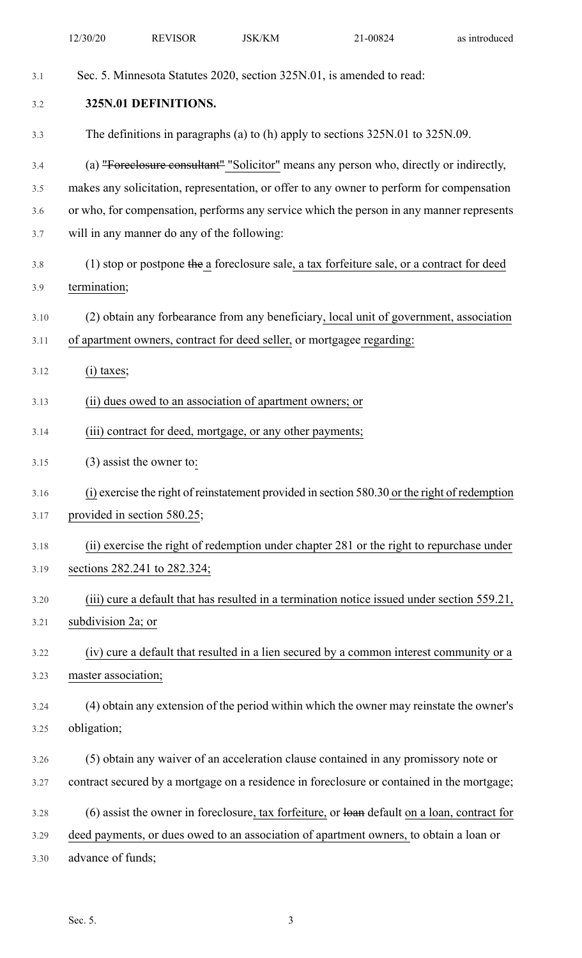|      | 12/30/20             | <b>REVISOR</b>                                            | <b>JSK/KM</b> | 21-00824                                                                                       | as introduced |  |
|------|----------------------|-----------------------------------------------------------|---------------|------------------------------------------------------------------------------------------------|---------------|--|
| 3.1  |                      |                                                           |               | Sec. 5. Minnesota Statutes 2020, section 325N.01, is amended to read:                          |               |  |
| 3.2  | 325N.01 DEFINITIONS. |                                                           |               |                                                                                                |               |  |
| 3.3  |                      |                                                           |               | The definitions in paragraphs (a) to (h) apply to sections 325N.01 to 325N.09.                 |               |  |
| 3.4  |                      |                                                           |               | (a) "Foreclosure consultant" "Solicitor" means any person who, directly or indirectly,         |               |  |
| 3.5  |                      |                                                           |               | makes any solicitation, representation, or offer to any owner to perform for compensation      |               |  |
| 3.6  |                      |                                                           |               | or who, for compensation, performs any service which the person in any manner represents       |               |  |
| 3.7  |                      | will in any manner do any of the following:               |               |                                                                                                |               |  |
| 3.8  |                      |                                                           |               | (1) stop or postpone the a foreclosure sale, a tax forfeiture sale, or a contract for deed     |               |  |
| 3.9  | termination;         |                                                           |               |                                                                                                |               |  |
| 3.10 |                      |                                                           |               | (2) obtain any forbearance from any beneficiary, local unit of government, association         |               |  |
| 3.11 |                      |                                                           |               | of apartment owners, contract for deed seller, or mortgagee regarding:                         |               |  |
| 3.12 | $(i)$ taxes;         |                                                           |               |                                                                                                |               |  |
| 3.13 |                      | (ii) dues owed to an association of apartment owners; or  |               |                                                                                                |               |  |
| 3.14 |                      | (iii) contract for deed, mortgage, or any other payments; |               |                                                                                                |               |  |
| 3.15 |                      | $(3)$ assist the owner to:                                |               |                                                                                                |               |  |
| 3.16 |                      |                                                           |               | (i) exercise the right of reinstatement provided in section 580.30 or the right of redemption  |               |  |
| 3.17 |                      | provided in section 580.25;                               |               |                                                                                                |               |  |
| 3.18 |                      |                                                           |               | (ii) exercise the right of redemption under chapter 281 or the right to repurchase under       |               |  |
| 3.19 |                      | sections 282.241 to 282.324;                              |               |                                                                                                |               |  |
| 3.20 |                      |                                                           |               | (iii) cure a default that has resulted in a termination notice issued under section 559.21,    |               |  |
| 3.21 | subdivision 2a; or   |                                                           |               |                                                                                                |               |  |
| 3.22 |                      |                                                           |               | (iv) cure a default that resulted in a lien secured by a common interest community or a        |               |  |
| 3.23 | master association;  |                                                           |               |                                                                                                |               |  |
| 3.24 |                      |                                                           |               | (4) obtain any extension of the period within which the owner may reinstate the owner's        |               |  |
| 3.25 | obligation;          |                                                           |               |                                                                                                |               |  |
| 3.26 |                      |                                                           |               | (5) obtain any waiver of an acceleration clause contained in any promissory note or            |               |  |
| 3.27 |                      |                                                           |               | contract secured by a mortgage on a residence in foreclosure or contained in the mortgage;     |               |  |
| 3.28 |                      |                                                           |               | $(6)$ assist the owner in foreclosure, tax forfeiture, or loan default on a loan, contract for |               |  |
| 3.29 |                      |                                                           |               | deed payments, or dues owed to an association of apartment owners, to obtain a loan or         |               |  |
| 3.30 | advance of funds;    |                                                           |               |                                                                                                |               |  |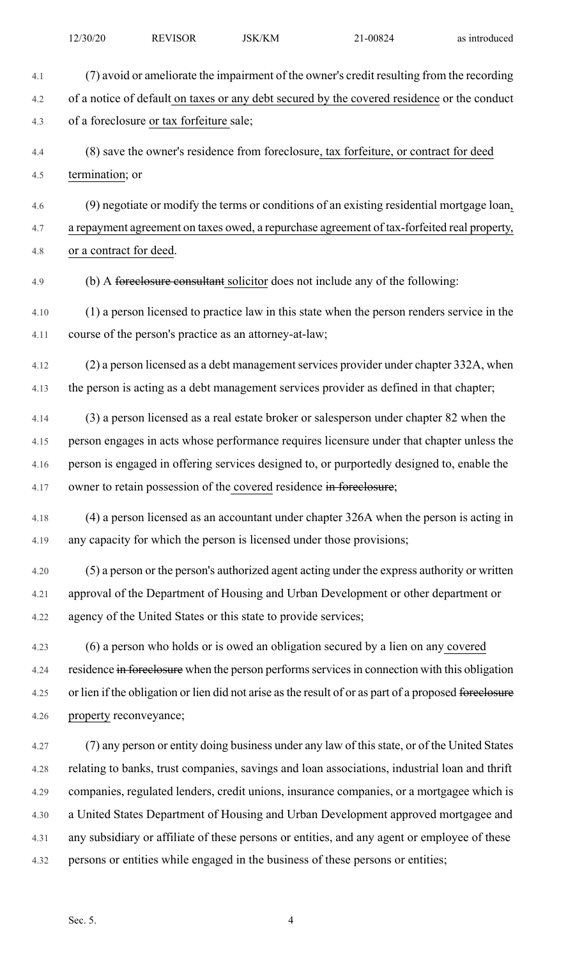| 4.1  | (7) avoid or ameliorate the impairment of the owner's credit resulting from the recording             |
|------|-------------------------------------------------------------------------------------------------------|
| 4.2  | of a notice of default on taxes or any debt secured by the covered residence or the conduct           |
| 4.3  | of a foreclosure or tax forfeiture sale;                                                              |
| 4.4  | (8) save the owner's residence from foreclosure, tax forfeiture, or contract for deed                 |
| 4.5  | termination; or                                                                                       |
| 4.6  | (9) negotiate or modify the terms or conditions of an existing residential mortgage loan,             |
| 4.7  | a repayment agreement on taxes owed, a repurchase agreement of tax-forfeited real property,           |
| 4.8  | or a contract for deed.                                                                               |
| 4.9  | (b) A foreclosure consultant solicitor does not include any of the following:                         |
| 4.10 | (1) a person licensed to practice law in this state when the person renders service in the            |
| 4.11 | course of the person's practice as an attorney-at-law;                                                |
| 4.12 | (2) a person licensed as a debt management services provider under chapter 332A, when                 |
| 4.13 | the person is acting as a debt management services provider as defined in that chapter;               |
| 4.14 | (3) a person licensed as a real estate broker or salesperson under chapter 82 when the                |
| 4.15 | person engages in acts whose performance requires licensure under that chapter unless the             |
| 4.16 | person is engaged in offering services designed to, or purportedly designed to, enable the            |
| 4.17 | owner to retain possession of the covered residence in foreclosure;                                   |
| 4.18 | (4) a person licensed as an accountant under chapter 326A when the person is acting in                |
| 4.19 | any capacity for which the person is licensed under those provisions;                                 |
| 4.20 | (5) a person or the person's authorized agent acting under the express authority or written           |
| 4.21 | approval of the Department of Housing and Urban Development or other department or                    |
| 4.22 | agency of the United States or this state to provide services;                                        |
| 4.23 | (6) a person who holds or is owed an obligation secured by a lien on any covered                      |
| 4.24 | residence in foreclosure when the person performs services in connection with this obligation         |
| 4.25 | or lien if the obligation or lien did not arise as the result of or as part of a proposed foreclosure |
| 4.26 | property reconveyance;                                                                                |
| 4.27 | (7) any person or entity doing business under any law of this state, or of the United States          |
| 4.28 | relating to banks, trust companies, savings and loan associations, industrial loan and thrift         |
| 4.29 | companies, regulated lenders, credit unions, insurance companies, or a mortgagee which is             |
| 4.30 | a United States Department of Housing and Urban Development approved mortgagee and                    |
| 4.31 | any subsidiary or affiliate of these persons or entities, and any agent or employee of these          |
| 4.32 | persons or entities while engaged in the business of these persons or entities;                       |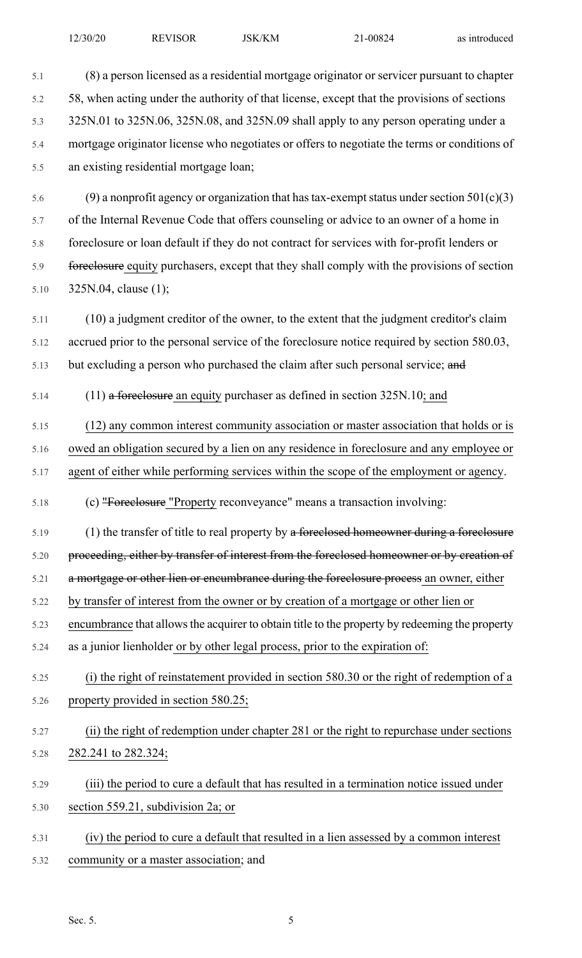| 5.1  | (8) a person licensed as a residential mortgage originator or servicer pursuant to chapter     |
|------|------------------------------------------------------------------------------------------------|
| 5.2  | 58, when acting under the authority of that license, except that the provisions of sections    |
| 5.3  | 325N.01 to 325N.06, 325N.08, and 325N.09 shall apply to any person operating under a           |
| 5.4  | mortgage originator license who negotiates or offers to negotiate the terms or conditions of   |
| 5.5  | an existing residential mortgage loan;                                                         |
| 5.6  | (9) a nonprofit agency or organization that has tax-exempt status under section $501(c)(3)$    |
| 5.7  | of the Internal Revenue Code that offers counseling or advice to an owner of a home in         |
| 5.8  | foreclosure or loan default if they do not contract for services with for-profit lenders or    |
| 5.9  | foreclosure equity purchasers, except that they shall comply with the provisions of section    |
| 5.10 | 325N.04, clause (1);                                                                           |
| 5.11 | (10) a judgment creditor of the owner, to the extent that the judgment creditor's claim        |
| 5.12 | accrued prior to the personal service of the foreclosure notice required by section 580.03,    |
| 5.13 | but excluding a person who purchased the claim after such personal service; and                |
| 5.14 | $(11)$ a foreclosure an equity purchaser as defined in section 325N.10; and                    |
| 5.15 | (12) any common interest community association or master association that holds or is          |
| 5.16 | owed an obligation secured by a lien on any residence in foreclosure and any employee or       |
| 5.17 | agent of either while performing services within the scope of the employment or agency.        |
| 5.18 | (c) "Foreelosure "Property reconveyance" means a transaction involving:                        |
| 5.19 | (1) the transfer of title to real property by a foreelosed homeowner during a foreelosure      |
| 5.20 | proceeding, either by transfer of interest from the foreclosed homeowner or by creation of     |
| 5.21 | a mortgage or other lien or encumbrance during the foreclosure process an owner, either        |
| 5.22 | by transfer of interest from the owner or by creation of a mortgage or other lien or           |
| 5.23 | encumbrance that allows the acquirer to obtain title to the property by redeeming the property |
| 5.24 | as a junior lienholder or by other legal process, prior to the expiration of:                  |
| 5.25 | (i) the right of reinstatement provided in section 580.30 or the right of redemption of a      |
| 5.26 | property provided in section 580.25;                                                           |
| 5.27 | (ii) the right of redemption under chapter 281 or the right to repurchase under sections       |
| 5.28 | 282.241 to 282.324;                                                                            |
| 5.29 | (iii) the period to cure a default that has resulted in a termination notice issued under      |
| 5.30 | section 559.21, subdivision 2a; or                                                             |
| 5.31 | (iv) the period to cure a default that resulted in a lien assessed by a common interest        |
| 5.32 | community or a master association; and                                                         |
|      |                                                                                                |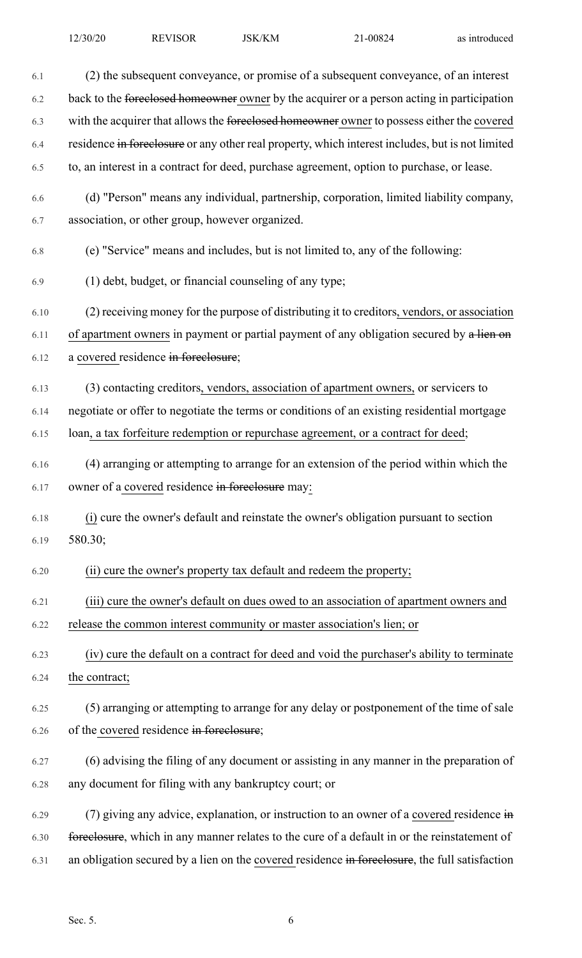| 6.1  | (2) the subsequent conveyance, or promise of a subsequent conveyance, of an interest                 |
|------|------------------------------------------------------------------------------------------------------|
| 6.2  | back to the foreelosed homeowner owner by the acquirer or a person acting in participation           |
| 6.3  | with the acquirer that allows the foreclosed homeowner owner to possess either the covered           |
| 6.4  | residence in foreclosure or any other real property, which interest includes, but is not limited     |
| 6.5  | to, an interest in a contract for deed, purchase agreement, option to purchase, or lease.            |
| 6.6  | (d) "Person" means any individual, partnership, corporation, limited liability company,              |
| 6.7  | association, or other group, however organized.                                                      |
| 6.8  | (e) "Service" means and includes, but is not limited to, any of the following:                       |
| 6.9  | (1) debt, budget, or financial counseling of any type;                                               |
| 6.10 | (2) receiving money for the purpose of distributing it to creditors, vendors, or association         |
| 6.11 | of apartment owners in payment or partial payment of any obligation secured by a lien on             |
| 6.12 | a covered residence in forcelosure;                                                                  |
| 6.13 | (3) contacting creditors, vendors, association of apartment owners, or servicers to                  |
| 6.14 | negotiate or offer to negotiate the terms or conditions of an existing residential mortgage          |
| 6.15 | loan, a tax forfeiture redemption or repurchase agreement, or a contract for deed;                   |
| 6.16 | (4) arranging or attempting to arrange for an extension of the period within which the               |
| 6.17 | owner of a covered residence in foreclosure may:                                                     |
| 6.18 | (i) cure the owner's default and reinstate the owner's obligation pursuant to section                |
| 6.19 | 580.30;                                                                                              |
| 6.20 | (ii) cure the owner's property tax default and redeem the property;                                  |
| 6.21 | (iii) cure the owner's default on dues owed to an association of apartment owners and                |
| 6.22 | release the common interest community or master association's lien; or                               |
| 6.23 | (iv) cure the default on a contract for deed and void the purchaser's ability to terminate           |
| 6.24 | the contract;                                                                                        |
| 6.25 | (5) arranging or attempting to arrange for any delay or postponement of the time of sale             |
| 6.26 | of the covered residence in foreclosure;                                                             |
| 6.27 | (6) advising the filing of any document or assisting in any manner in the preparation of             |
| 6.28 | any document for filing with any bankruptcy court; or                                                |
| 6.29 | (7) giving any advice, explanation, or instruction to an owner of a covered residence $\overline{m}$ |
| 6.30 | foreclosure, which in any manner relates to the cure of a default in or the reinstatement of         |
| 6.31 | an obligation secured by a lien on the covered residence in foreclosure, the full satisfaction       |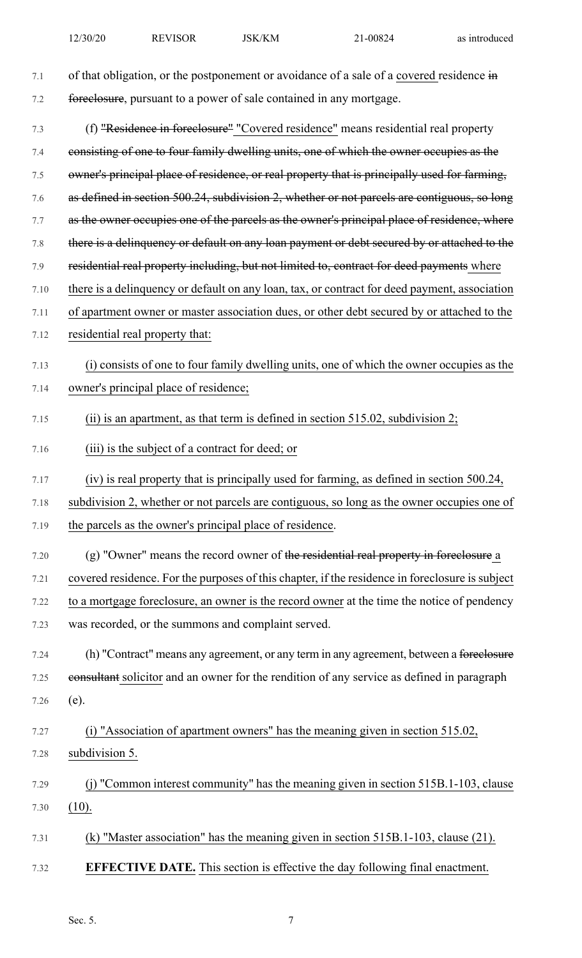7.1 of that obligation, or the postponement or avoidance of a sale of a covered residence in 7.2 foreclosure, pursuant to a power of sale contained in any mortgage. 7.3 (f) "Residence in foreclosure" "Covered residence" means residential real property 7.4 consisting of one to four family dwelling units, one of which the owner occupies as the 7.5 owner's principal place of residence, or real property that is principally used for farming, 7.6 as defined in section 500.24, subdivision 2, whether or not parcels are contiguous, so long 7.7 as the owner occupies one of the parcels as the owner's principal place of residence, where 7.8 there is a delinquency or default on any loan payment or debt secured by or attached to the 7.9 residential real property including, but not limited to, contract for deed payments where 7.10 there is a delinquency or default on any loan, tax, or contract for deed payment, association 7.11 of apartment owner or master association dues, or other debt secured by or attached to the 7.12 residential real property that: 7.13 (i) consists of one to four family dwelling units, one of which the owner occupies as the 7.14 owner's principal place of residence; 7.15 (ii) is an apartment, as that term is defined in section 515.02, subdivision 2; 7.16 (iii) is the subject of a contract for deed; or 7.17 (iv) is real property that is principally used for farming, as defined in section 500.24, 7.18 subdivision 2, whether or not parcels are contiguous, so long as the owner occupies one of 7.19 the parcels as the owner's principal place of residence. 7.20 (g) "Owner" means the record owner of the residential real property in foreclosure a 7.21 covered residence. For the purposes of this chapter, if the residence in foreclosure is subject 7.22 to a mortgage foreclosure, an owner is the record owner at the time the notice of pendency 7.23 was recorded, or the summons and complaint served. 7.24 (h) "Contract" means any agreement, or any term in any agreement, between a foreclosure 7.25 eonsultant solicitor and an owner for the rendition of any service as defined in paragraph 7.26 (e). 7.27 (i) "Association of apartment owners" has the meaning given in section 515.02, 7.28 subdivision 5. 7.29 (j) "Common interest community" has the meaning given in section 515B.1-103, clause 7.30 (10). 7.31 (k) "Master association" has the meaning given in section 515B.1-103, clause (21). 7.32 **EFFECTIVE DATE.** This section is effective the day following final enactment.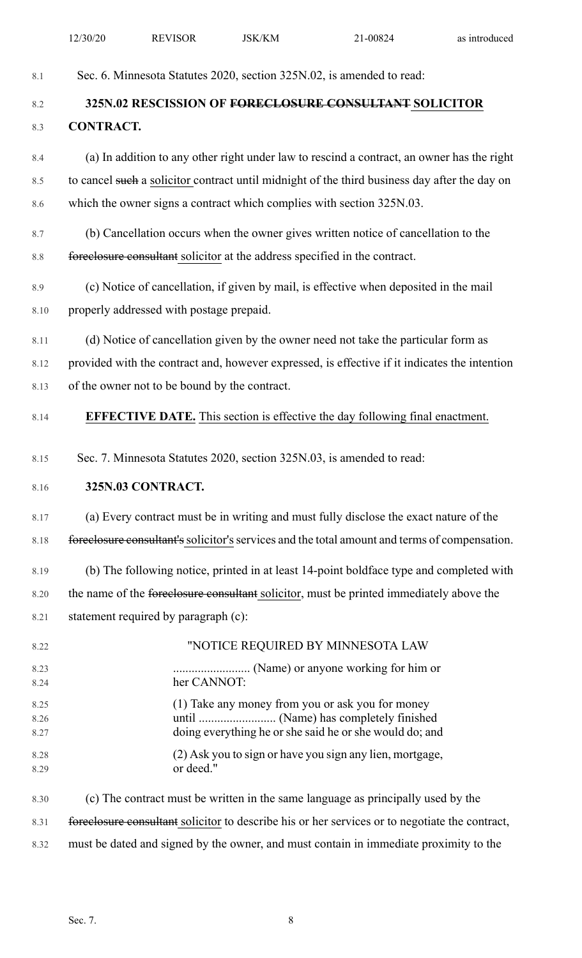|              | 12/30/20                                                                                      | <b>REVISOR</b>                                | <b>JSK/KM</b> | 21-00824                                                                                       | as introduced |
|--------------|-----------------------------------------------------------------------------------------------|-----------------------------------------------|---------------|------------------------------------------------------------------------------------------------|---------------|
| 8.1          |                                                                                               |                                               |               | Sec. 6. Minnesota Statutes 2020, section 325N.02, is amended to read:                          |               |
| 8.2          |                                                                                               |                                               |               | 325N.02 RESCISSION OF FORECLOSURE CONSULTANT SOLICITOR                                         |               |
| 8.3          | <b>CONTRACT.</b>                                                                              |                                               |               |                                                                                                |               |
|              |                                                                                               |                                               |               |                                                                                                |               |
| 8.4          |                                                                                               |                                               |               | (a) In addition to any other right under law to rescind a contract, an owner has the right     |               |
| 8.5          |                                                                                               |                                               |               | to cancel such a solicitor contract until midnight of the third business day after the day on  |               |
| 8.6          |                                                                                               |                                               |               | which the owner signs a contract which complies with section 325N.03.                          |               |
| 8.7          |                                                                                               |                                               |               | (b) Cancellation occurs when the owner gives written notice of cancellation to the             |               |
| 8.8          |                                                                                               |                                               |               | foreelosure consultant solicitor at the address specified in the contract.                     |               |
| 8.9          |                                                                                               |                                               |               | (c) Notice of cancellation, if given by mail, is effective when deposited in the mail          |               |
| 8.10         |                                                                                               | properly addressed with postage prepaid.      |               |                                                                                                |               |
| 8.11         |                                                                                               |                                               |               | (d) Notice of cancellation given by the owner need not take the particular form as             |               |
| 8.12         |                                                                                               |                                               |               | provided with the contract and, however expressed, is effective if it indicates the intention  |               |
| 8.13         |                                                                                               | of the owner not to be bound by the contract. |               |                                                                                                |               |
| 8.14         | <b>EFFECTIVE DATE.</b> This section is effective the day following final enactment.           |                                               |               |                                                                                                |               |
| 8.15         |                                                                                               |                                               |               | Sec. 7. Minnesota Statutes 2020, section 325N.03, is amended to read:                          |               |
| 8.16         | 325N.03 CONTRACT.                                                                             |                                               |               |                                                                                                |               |
| 8.17         | (a) Every contract must be in writing and must fully disclose the exact nature of the         |                                               |               |                                                                                                |               |
| 8.18         | foreclosure consultant's solicitor's services and the total amount and terms of compensation. |                                               |               |                                                                                                |               |
| 8.19         |                                                                                               |                                               |               | (b) The following notice, printed in at least 14-point boldface type and completed with        |               |
| 8.20         | the name of the foreclosure consultant solicitor, must be printed immediately above the       |                                               |               |                                                                                                |               |
| 8.21         |                                                                                               | statement required by paragraph (c):          |               |                                                                                                |               |
| 8.22         |                                                                                               |                                               |               | "NOTICE REQUIRED BY MINNESOTA LAW                                                              |               |
| 8.23<br>8.24 |                                                                                               | her CANNOT:                                   |               |                                                                                                |               |
| 8.25         |                                                                                               |                                               |               | (1) Take any money from you or ask you for money                                               |               |
| 8.26<br>8.27 |                                                                                               |                                               |               | doing everything he or she said he or she would do; and                                        |               |
| 8.28         |                                                                                               |                                               |               | (2) Ask you to sign or have you sign any lien, mortgage,                                       |               |
| 8.29         |                                                                                               | or deed."                                     |               |                                                                                                |               |
| 8.30         |                                                                                               |                                               |               | (c) The contract must be written in the same language as principally used by the               |               |
| 8.31         |                                                                                               |                                               |               | foreelosure consultant solicitor to describe his or her services or to negotiate the contract, |               |
| 8.32         |                                                                                               |                                               |               | must be dated and signed by the owner, and must contain in immediate proximity to the          |               |
|              |                                                                                               |                                               |               |                                                                                                |               |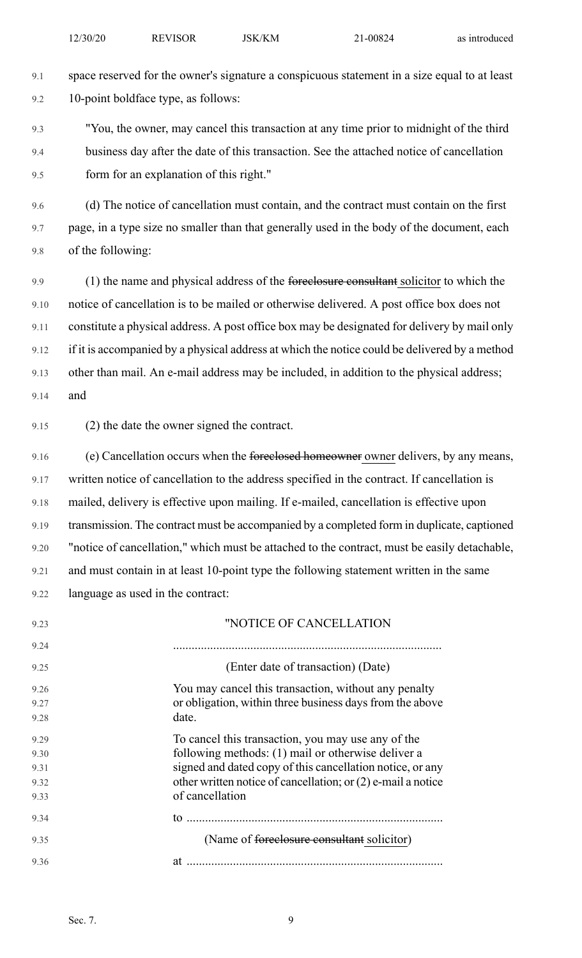9.1 space reserved for the owner's signature a conspicuous statement in a size equal to at least 9.2 10-point boldface type, as follows:

9.3 "You, the owner, may cancel this transaction at any time prior to midnight of the third 9.4 business day after the date of this transaction. See the attached notice of cancellation 9.5 form for an explanation of this right."

9.6 (d) The notice of cancellation must contain, and the contract must contain on the first 9.7 page, in a type size no smaller than that generally used in the body of the document, each 9.8 of the following:

9.9 (1) the name and physical address of the foreclosure consultant solicitor to which the 9.10 notice of cancellation is to be mailed or otherwise delivered. A post office box does not 9.11 constitute a physical address. A post office box may be designated for delivery by mail only 9.12 if it is accompanied by a physical address at which the notice could be delivered by a method 9.13 other than mail. An e-mail address may be included, in addition to the physical address; 9.14 and

9.15 (2) the date the owner signed the contract.

9.16 (e) Cancellation occurs when the foreclosed homeowner owner delivers, by any means, 9.17 written notice of cancellation to the address specified in the contract. If cancellation is 9.18 mailed, delivery is effective upon mailing. If e-mailed, cancellation is effective upon 9.19 transmission. The contract must be accompanied by a completed form in duplicate, captioned 9.20 "notice of cancellation," which must be attached to the contract, must be easily detachable, 9.21 and must contain in at least 10-point type the following statement written in the same 9.22 language as used in the contract:

| 9.23 | "NOTICE OF CANCELLATION                                        |
|------|----------------------------------------------------------------|
| 9.24 |                                                                |
| 9.25 | (Enter date of transaction) (Date)                             |
| 9.26 | You may cancel this transaction, without any penalty           |
| 9.27 | or obligation, within three business days from the above       |
| 9.28 | date.                                                          |
| 9.29 | To cancel this transaction, you may use any of the             |
| 9.30 | following methods: (1) mail or otherwise deliver a             |
| 9.31 | signed and dated copy of this cancellation notice, or any      |
| 9.32 | other written notice of cancellation; or $(2)$ e-mail a notice |
| 9.33 | of cancellation                                                |
| 9.34 |                                                                |
| 9.35 | (Name of <del>foreclosure consultant</del> solicitor)          |
| 9.36 | at                                                             |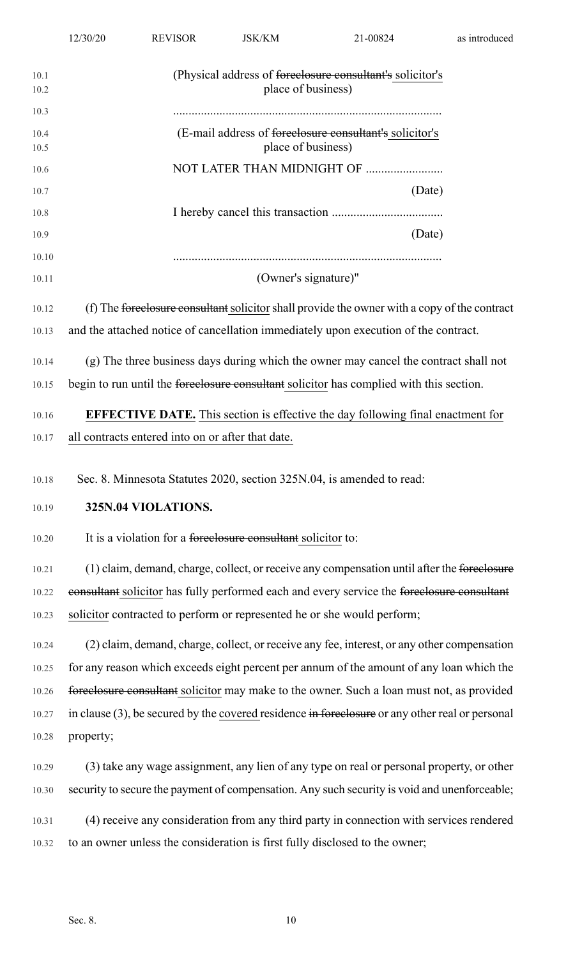| 10.1<br>10.2 | (Physical address of foreclosure consultant's solicitor's<br>place of business)                    |
|--------------|----------------------------------------------------------------------------------------------------|
| 10.3         |                                                                                                    |
| 10.4<br>10.5 | (E-mail address of <del>forcelosure consultant's</del> solicitor's<br>place of business)           |
| 10.6         |                                                                                                    |
| 10.7         | (Date)                                                                                             |
| 10.8         |                                                                                                    |
| 10.9         | (Date)                                                                                             |
| 10.10        |                                                                                                    |
| 10.11        | (Owner's signature)"                                                                               |
| 10.12        | (f) The foreclosure consultant solicitor shall provide the owner with a copy of the contract       |
| 10.13        | and the attached notice of cancellation immediately upon execution of the contract.                |
| 10.14        | (g) The three business days during which the owner may cancel the contract shall not               |
| 10.15        | begin to run until the foreclosure consultant solicitor has complied with this section.            |
| 10.16        | <b>EFFECTIVE DATE.</b> This section is effective the day following final enactment for             |
| 10.17        | all contracts entered into on or after that date.                                                  |
| 10.18        | Sec. 8. Minnesota Statutes 2020, section 325N.04, is amended to read:                              |
| 10.19        | 325N.04 VIOLATIONS.                                                                                |
| 10.20        | It is a violation for a foreclosure consultant solicitor to:                                       |
| 10.21        | (1) claim, demand, charge, collect, or receive any compensation until after the foreelosure        |
| 10.22        | consultant solicitor has fully performed each and every service the foreelosure consultant         |
| 10.23        | solicitor contracted to perform or represented he or she would perform;                            |
| 10.24        | (2) claim, demand, charge, collect, or receive any fee, interest, or any other compensation        |
| 10.25        | for any reason which exceeds eight percent per annum of the amount of any loan which the           |
| 10.26        | foreelosure consultant solicitor may make to the owner. Such a loan must not, as provided          |
| 10.27        | in clause $(3)$ , be secured by the covered residence in foreclosure or any other real or personal |
| 10.28        | property;                                                                                          |
| 10.29        | (3) take any wage assignment, any lien of any type on real or personal property, or other          |
| 10.30        | security to secure the payment of compensation. Any such security is void and unenforceable;       |
| 10.31        | (4) receive any consideration from any third party in connection with services rendered            |
| 10.32        | to an owner unless the consideration is first fully disclosed to the owner;                        |
|              |                                                                                                    |

12/30/20 REVISOR JSK/KM 21-00824 as introduced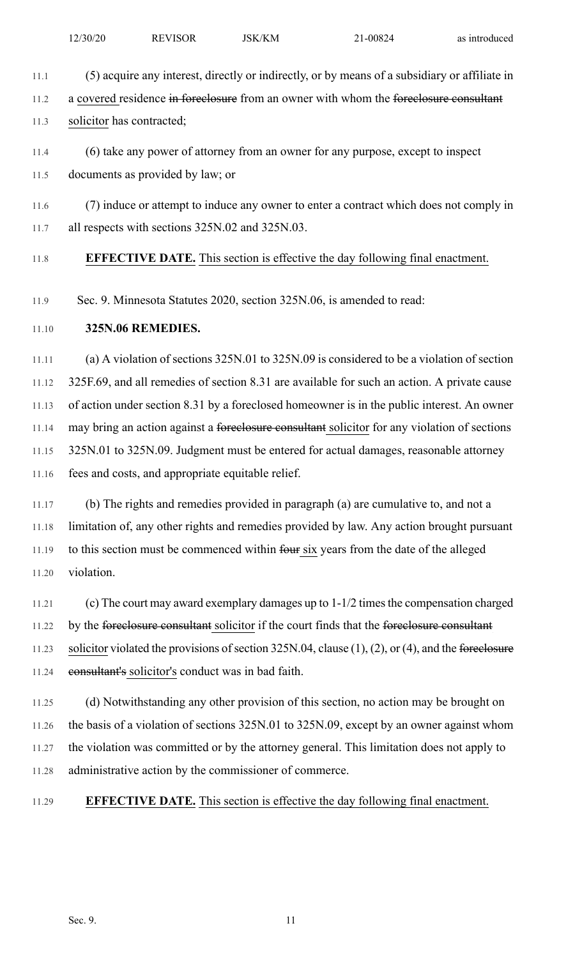11.1 (5) acquire any interest, directly or indirectly, or by means of a subsidiary or affiliate in

11.2 a covered residence in foreclosure from an owner with whom the foreclosure consultant

11.3 solicitor has contracted;

11.4 (6) take any power of attorney from an owner for any purpose, except to inspect

11.5 documents as provided by law; or

11.6 (7) induce or attempt to induce any owner to enter a contract which does not comply in 11.7 all respects with sections 325N.02 and 325N.03.

## 11.8 **EFFECTIVE DATE.** This section is effective the day following final enactment.

11.9 Sec. 9. Minnesota Statutes 2020, section 325N.06, is amended to read:

### 11.10 **325N.06 REMEDIES.**

11.11 (a) A violation of sections 325N.01 to 325N.09 is considered to be a violation of section 11.12 325F.69, and all remedies of section 8.31 are available for such an action. A private cause 11.13 of action under section 8.31 by a foreclosed homeowner is in the public interest. An owner 11.14 may bring an action against a foreclosure consultant solicitor for any violation of sections 11.15 325N.01 to 325N.09. Judgment must be entered for actual damages, reasonable attorney 11.16 fees and costs, and appropriate equitable relief.

11.17 (b) The rights and remedies provided in paragraph (a) are cumulative to, and not a 11.18 limitation of, any other rights and remedies provided by law. Any action brought pursuant 11.19 to this section must be commenced within four six years from the date of the alleged 11.20 violation.

11.21 (c) The court may award exemplary damages up to 1-1/2 timesthe compensation charged 11.22 by the foreclosure consultant solicitor if the court finds that the foreclosure consultant 11.23 solicitor violated the provisions of section  $325N.04$ , clause (1), (2), or (4), and the foreclosure 11.24 consultant's solicitor's conduct was in bad faith.

11.25 (d) Notwithstanding any other provision of this section, no action may be brought on 11.26 the basis of a violation of sections 325N.01 to 325N.09, except by an owner against whom 11.27 the violation was committed or by the attorney general. This limitation does not apply to 11.28 administrative action by the commissioner of commerce.

11.29 **EFFECTIVE DATE.** This section is effective the day following final enactment.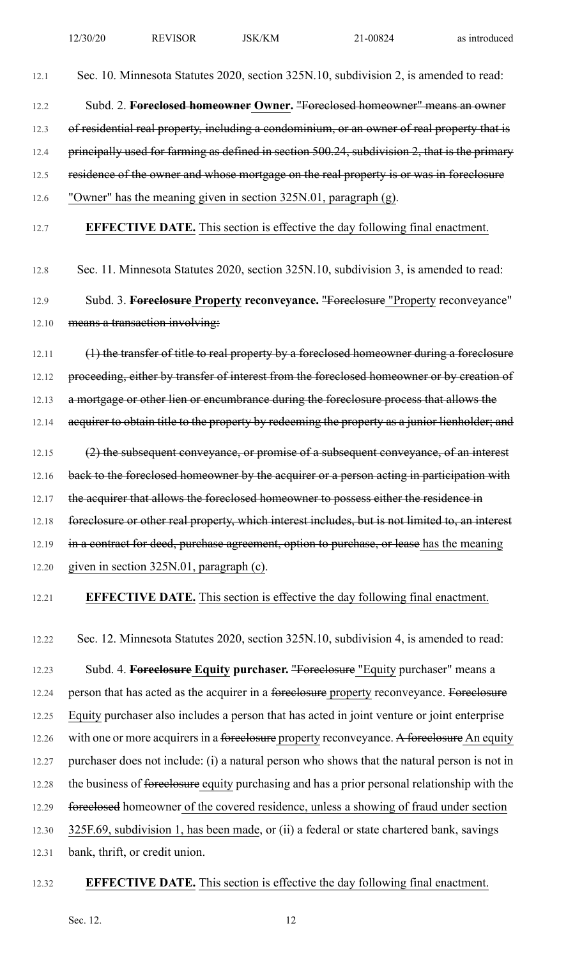12.1 Sec. 10. Minnesota Statutes 2020, section 325N.10, subdivision 2, is amended to read:

12.2 Subd. 2. **Foreclosed homeowner Owner.** "Foreclosed homeowner" means an owner 12.3 of residential real property, including a condominium, or an owner of real property that is 12.4 principally used for farming as defined in section 500.24, subdivision 2, that is the primary 12.5 residence of the owner and whose mortgage on the real property is or was in foreclosure 12.6 "Owner" has the meaning given in section 325N.01, paragraph (g).

## 12.7 **EFFECTIVE DATE.** This section is effective the day following final enactment.

12.8 Sec. 11. Minnesota Statutes 2020, section 325N.10, subdivision 3, is amended to read:

12.9 Subd. 3. **Foreclosure Property reconveyance.** "Foreclosure "Property reconveyance" 12.10 means a transaction involving:

12.11 (1) the transfer of title to real property by a foreclosed homeowner during a foreclosure 12.12 proceeding, either by transfer of interest from the foreclosed homeowner or by creation of 12.13 a mortgage or other lien or encumbrance during the foreclosure process that allows the 12.14 acquirer to obtain title to the property by redeeming the property as a junior lienholder; and 12.15 (2) the subsequent conveyance, or promise of a subsequent conveyance, of an interest

12.16 back to the foreclosed homeowner by the acquirer or a person acting in participation with 12.17 the acquirer that allows the foreclosed homeowner to possess either the residence in 12.18 foreclosure or other real property, which interest includes, but is not limited to, an interest 12.19 in a contract for deed, purchase agreement, option to purchase, or lease has the meaning 12.20 given in section 325N.01, paragraph (c).

## 12.21 **EFFECTIVE DATE.** This section is effective the day following final enactment.

12.22 Sec. 12. Minnesota Statutes 2020, section 325N.10, subdivision 4, is amended to read:

12.23 Subd. 4. **Foreclosure Equity purchaser.** "Foreclosure "Equity purchaser" means a 12.24 person that has acted as the acquirer in a foreclosure property reconveyance. Foreclosure 12.25 Equity purchaser also includes a person that has acted in joint venture or joint enterprise 12.26 with one or more acquirers in a foreclosure property reconveyance. A foreclosure An equity 12.27 purchaser does not include: (i) a natural person who shows that the natural person is not in 12.28 the business of foreclosure equity purchasing and has a prior personal relationship with the 12.29 foreclosed homeowner of the covered residence, unless a showing of fraud under section 12.30 325F.69, subdivision 1, has been made, or (ii) a federal or state chartered bank, savings 12.31 bank, thrift, or credit union.

#### 12.32 **EFFECTIVE DATE.** This section is effective the day following final enactment.

Sec. 12. 12